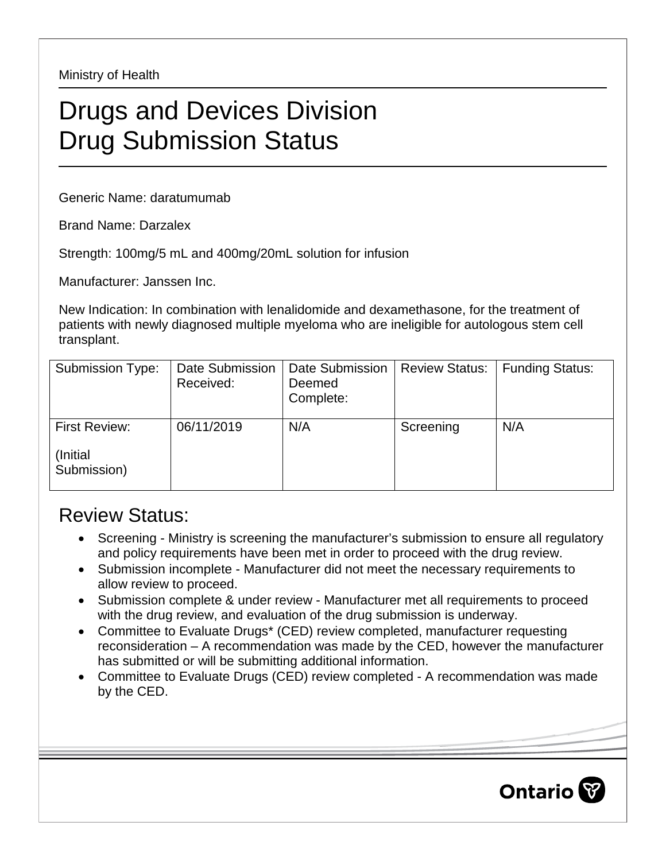Ministry of Health

## Drugs and Devices Division Drug Submission Status

Generic Name: daratumumab

Brand Name: Darzalex

Strength: 100mg/5 mL and 400mg/20mL solution for infusion

Manufacturer: Janssen Inc.

New Indication: In combination with lenalidomide and dexamethasone, for the treatment of patients with newly diagnosed multiple myeloma who are ineligible for autologous stem cell transplant.

| Submission Type:        | Date Submission<br>Received: | <b>Date Submission</b><br>Deemed<br>Complete: | <b>Review Status:</b> | <b>Funding Status:</b> |
|-------------------------|------------------------------|-----------------------------------------------|-----------------------|------------------------|
| First Review:           | 06/11/2019                   | N/A                                           | Screening             | N/A                    |
| (Initial<br>Submission) |                              |                                               |                       |                        |

## Review Status:

- Screening Ministry is screening the manufacturer's submission to ensure all regulatory and policy requirements have been met in order to proceed with the drug review.
- Submission incomplete Manufacturer did not meet the necessary requirements to allow review to proceed.
- Submission complete & under review Manufacturer met all requirements to proceed with the drug review, and evaluation of the drug submission is underway.
- Committee to Evaluate Drugs\* (CED) review completed, manufacturer requesting reconsideration – A recommendation was made by the CED, however the manufacturer has submitted or will be submitting additional information.
- Committee to Evaluate Drugs (CED) review completed A recommendation was made by the CED.